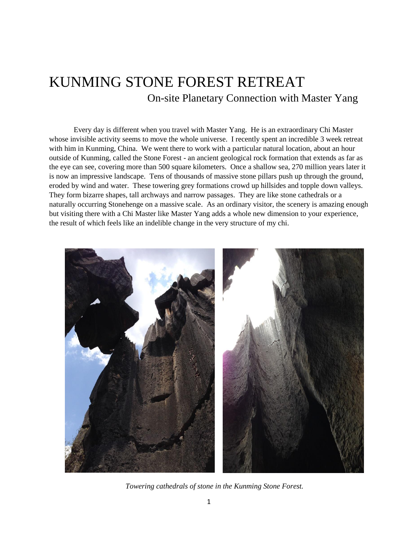## KUNMING STONE FOREST RETREAT On-site Planetary Connection with Master Yang

Every day is different when you travel with Master Yang. He is an extraordinary Chi Master whose invisible activity seems to move the whole universe. I recently spent an incredible 3 week retreat with him in Kunming, China. We went there to work with a particular natural location, about an hour outside of Kunming, called the Stone Forest - an ancient geological rock formation that extends as far as the eye can see, covering more than 500 square kilometers. Once a shallow sea, 270 million years later it is now an impressive landscape. Tens of thousands of massive stone pillars push up through the ground, eroded by wind and water. These towering grey formations crowd up hillsides and topple down valleys. They form bizarre shapes, tall archways and narrow passages. They are like stone cathedrals or a naturally occurring Stonehenge on a massive scale. As an ordinary visitor, the scenery is amazing enough but visiting there with a Chi Master like Master Yang adds a whole new dimension to your experience, the result of which feels like an indelible change in the very structure of my chi.



 *Towering cathedrals of stone in the Kunming Stone Forest.*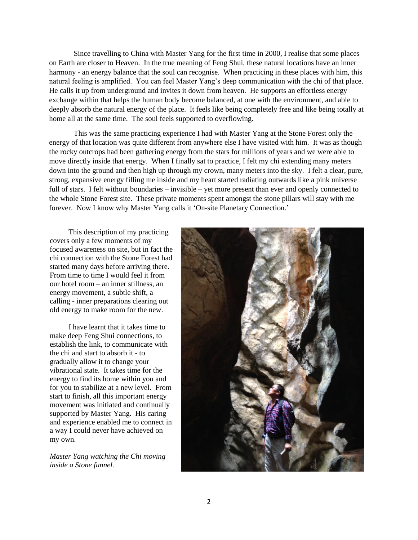Since travelling to China with Master Yang for the first time in 2000, I realise that some places on Earth are closer to Heaven. In the true meaning of Feng Shui, these natural locations have an inner harmony - an energy balance that the soul can recognise. When practicing in these places with him, this natural feeling is amplified. You can feel Master Yang's deep communication with the chi of that place. He calls it up from underground and invites it down from heaven. He supports an effortless energy exchange within that helps the human body become balanced, at one with the environment, and able to deeply absorb the natural energy of the place. It feels like being completely free and like being totally at home all at the same time. The soul feels supported to overflowing.

This was the same practicing experience I had with Master Yang at the Stone Forest only the energy of that location was quite different from anywhere else I have visited with him. It was as though the rocky outcrops had been gathering energy from the stars for millions of years and we were able to move directly inside that energy. When I finally sat to practice, I felt my chi extending many meters down into the ground and then high up through my crown, many meters into the sky. I felt a clear, pure, strong, expansive energy filling me inside and my heart started radiating outwards like a pink universe full of stars. I felt without boundaries – invisible – yet more present than ever and openly connected to the whole Stone Forest site. These private moments spent amongst the stone pillars will stay with me forever. Now I know why Master Yang calls it 'On-site Planetary Connection.'

 This description of my practicing covers only a few moments of my focused awareness on site, but in fact the chi connection with the Stone Forest had started many days before arriving there. From time to time I would feel it from our hotel room – an inner stillness, an energy movement, a subtle shift, a calling - inner preparations clearing out old energy to make room for the new.

 I have learnt that it takes time to make deep Feng Shui connections, to establish the link, to communicate with the chi and start to absorb it - to gradually allow it to change your vibrational state. It takes time for the energy to find its home within you and for you to stabilize at a new level. From start to finish, all this important energy movement was initiated and continually supported by Master Yang. His caring and experience enabled me to connect in a way I could never have achieved on my own.

*Master Yang watching the Chi moving inside a Stone funnel.*

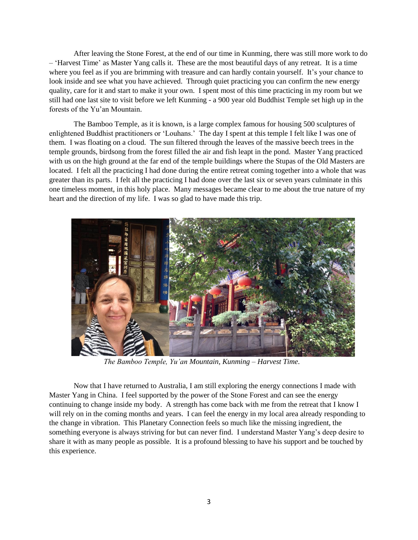After leaving the Stone Forest, at the end of our time in Kunming, there was still more work to do – 'Harvest Time' as Master Yang calls it. These are the most beautiful days of any retreat. It is a time where you feel as if you are brimming with treasure and can hardly contain yourself. It's your chance to look inside and see what you have achieved. Through quiet practicing you can confirm the new energy quality, care for it and start to make it your own. I spent most of this time practicing in my room but we still had one last site to visit before we left Kunming - a 900 year old Buddhist Temple set high up in the forests of the Yu'an Mountain.

The Bamboo Temple, as it is known, is a large complex famous for housing 500 sculptures of enlightened Buddhist practitioners or 'Louhans.' The day I spent at this temple I felt like I was one of them. I was floating on a cloud. The sun filtered through the leaves of the massive beech trees in the temple grounds, birdsong from the forest filled the air and fish leapt in the pond. Master Yang practiced with us on the high ground at the far end of the temple buildings where the Stupas of the Old Masters are located. I felt all the practicing I had done during the entire retreat coming together into a whole that was greater than its parts. I felt all the practicing I had done over the last six or seven years culminate in this one timeless moment, in this holy place. Many messages became clear to me about the true nature of my heart and the direction of my life. I was so glad to have made this trip.



 *The Bamboo Temple, Yu'an Mountain, Kunming – Harvest Time.*

Now that I have returned to Australia, I am still exploring the energy connections I made with Master Yang in China. I feel supported by the power of the Stone Forest and can see the energy continuing to change inside my body. A strength has come back with me from the retreat that I know I will rely on in the coming months and years. I can feel the energy in my local area already responding to the change in vibration. This Planetary Connection feels so much like the missing ingredient, the something everyone is always striving for but can never find. I understand Master Yang's deep desire to share it with as many people as possible. It is a profound blessing to have his support and be touched by this experience.